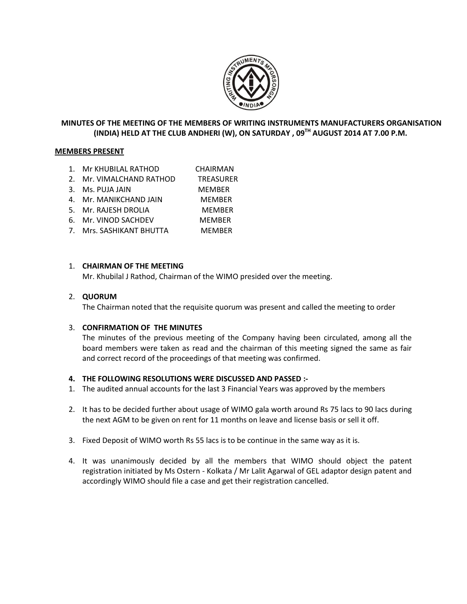

# **MINUTES OF THE MEETING OF THE MEMBERS OF WRITING INSTRUMENTS MANUFACTURERS ORGANISATION (INDIA) HELD AT THE CLUB ANDHERI (W), ON SATURDAY , 09TH AUGUST 2014 AT 7.00 P.M.**

### **MEMBERS PRESENT**

- 1. Mr KHUBILAL RATHOD CHAIRMAN
- 2. Mr. VIMALCHAND RATHOD TREASURER
- 3. Ms. PUJA JAIN MEMBER
- 4. Mr. MANIKCHAND JAIN MEMBER
- 5. Mr. RAJESH DROLIA MEMBER
- 6. Mr. VINOD SACHDEV MEMBER
- 7. Mrs. SASHIKANT BHUTTA MEMBER

### 1. **CHAIRMAN OF THE MEETING**

Mr. Khubilal J Rathod, Chairman of the WIMO presided over the meeting.

### 2. **QUORUM**

The Chairman noted that the requisite quorum was present and called the meeting to order

### 3. **CONFIRMATION OF THE MINUTES**

The minutes of the previous meeting of the Company having been circulated, among all the board members were taken as read and the chairman of this meeting signed the same as fair and correct record of the proceedings of that meeting was confirmed.

### **4. THE FOLLOWING RESOLUTIONS WERE DISCUSSED AND PASSED :-**

- 1. The audited annual accounts for the last 3 Financial Years was approved by the members
- 2. It has to be decided further about usage of WIMO gala worth around Rs 75 lacs to 90 lacs during the next AGM to be given on rent for 11 months on leave and license basis or sell it off.
- 3. Fixed Deposit of WIMO worth Rs 55 lacs is to be continue in the same way as it is.
- 4. It was unanimously decided by all the members that WIMO should object the patent registration initiated by Ms Ostern - Kolkata / Mr Lalit Agarwal of GEL adaptor design patent and accordingly WIMO should file a case and get their registration cancelled.